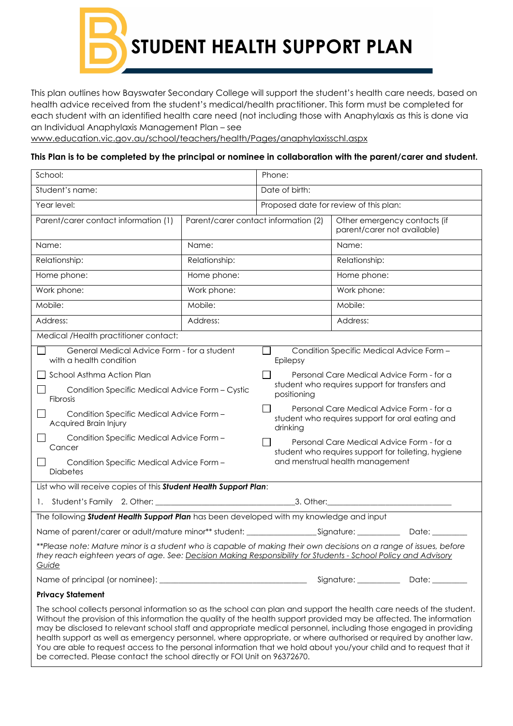**STUDENT HEALTH SUPPORT PLAN**

This plan outlines how Bayswater Secondary College will support the student's health care needs, based on health advice received from the student's medical/health practitioner. This form must be completed for each student with an identified health care need (not including those with Anaphylaxis as this is done via an Individual Anaphylaxis Management Plan – see

[www.education.vic.gov.au/school/teachers/health/Pages/anaphylaxisschl.aspx](http://www.education.vic.gov.au/school/teachers/health/Pages/anaphylaxisschl.aspx)

## **This Plan is to be completed by the principal or nominee in collaboration with the parent/carer and student.**

| School:                                                                                                                                                                                                                                                                                                                                                                                                                                                                                                                                                                                                                                                                                     |                                      | Phone:                                                                                                                                                                                                                                                                                                                                                         |                             |                              |  |
|---------------------------------------------------------------------------------------------------------------------------------------------------------------------------------------------------------------------------------------------------------------------------------------------------------------------------------------------------------------------------------------------------------------------------------------------------------------------------------------------------------------------------------------------------------------------------------------------------------------------------------------------------------------------------------------------|--------------------------------------|----------------------------------------------------------------------------------------------------------------------------------------------------------------------------------------------------------------------------------------------------------------------------------------------------------------------------------------------------------------|-----------------------------|------------------------------|--|
| Student's name:                                                                                                                                                                                                                                                                                                                                                                                                                                                                                                                                                                                                                                                                             |                                      | Date of birth:                                                                                                                                                                                                                                                                                                                                                 |                             |                              |  |
| Year level:                                                                                                                                                                                                                                                                                                                                                                                                                                                                                                                                                                                                                                                                                 |                                      | Proposed date for review of this plan:                                                                                                                                                                                                                                                                                                                         |                             |                              |  |
| Parent/carer contact information (1)                                                                                                                                                                                                                                                                                                                                                                                                                                                                                                                                                                                                                                                        | Parent/carer contact information (2) |                                                                                                                                                                                                                                                                                                                                                                | parent/carer not available) | Other emergency contacts (if |  |
| Name:                                                                                                                                                                                                                                                                                                                                                                                                                                                                                                                                                                                                                                                                                       | Name:                                |                                                                                                                                                                                                                                                                                                                                                                | Name:                       |                              |  |
| Relationship:                                                                                                                                                                                                                                                                                                                                                                                                                                                                                                                                                                                                                                                                               | Relationship:                        |                                                                                                                                                                                                                                                                                                                                                                | Relationship:               |                              |  |
| Home phone:                                                                                                                                                                                                                                                                                                                                                                                                                                                                                                                                                                                                                                                                                 | Home phone:                          |                                                                                                                                                                                                                                                                                                                                                                | Home phone:                 |                              |  |
| Work phone:                                                                                                                                                                                                                                                                                                                                                                                                                                                                                                                                                                                                                                                                                 | Work phone:                          |                                                                                                                                                                                                                                                                                                                                                                | Work phone:                 |                              |  |
| Mobile:                                                                                                                                                                                                                                                                                                                                                                                                                                                                                                                                                                                                                                                                                     | Mobile:                              |                                                                                                                                                                                                                                                                                                                                                                | Mobile:                     |                              |  |
| Address:                                                                                                                                                                                                                                                                                                                                                                                                                                                                                                                                                                                                                                                                                    | Address:                             |                                                                                                                                                                                                                                                                                                                                                                | Address:                    |                              |  |
| Medical /Health practitioner contact:                                                                                                                                                                                                                                                                                                                                                                                                                                                                                                                                                                                                                                                       |                                      |                                                                                                                                                                                                                                                                                                                                                                |                             |                              |  |
| General Medical Advice Form - for a student<br>with a health condition                                                                                                                                                                                                                                                                                                                                                                                                                                                                                                                                                                                                                      |                                      | Condition Specific Medical Advice Form -<br>Epilepsy                                                                                                                                                                                                                                                                                                           |                             |                              |  |
| School Asthma Action Plan<br>Condition Specific Medical Advice Form - Cystic<br>Fibrosis<br>Condition Specific Medical Advice Form -<br>Acquired Brain Injury<br>Condition Specific Medical Advice Form -<br>Cancer<br>Condition Specific Medical Advice Form -<br><b>Diabetes</b><br>List who will receive copies of this Student Health Support Plan:                                                                                                                                                                                                                                                                                                                                     |                                      | Personal Care Medical Advice Form - for a<br>student who requires support for transfers and<br>positioning<br>Personal Care Medical Advice Form - for a<br>student who requires support for oral eating and<br>drinking<br>Personal Care Medical Advice Form - for a<br>student who requires support for toileting, hygiene<br>and menstrual health management |                             |                              |  |
| 1.                                                                                                                                                                                                                                                                                                                                                                                                                                                                                                                                                                                                                                                                                          |                                      |                                                                                                                                                                                                                                                                                                                                                                |                             |                              |  |
| The following Student Health Support Plan has been developed with my knowledge and input                                                                                                                                                                                                                                                                                                                                                                                                                                                                                                                                                                                                    |                                      |                                                                                                                                                                                                                                                                                                                                                                |                             |                              |  |
|                                                                                                                                                                                                                                                                                                                                                                                                                                                                                                                                                                                                                                                                                             |                                      |                                                                                                                                                                                                                                                                                                                                                                |                             | Date: __                     |  |
| **Please note: Mature minor is a student who is capable of making their own decisions on a range of issues, before<br>they reach eighteen years of age. See: Decision Making Responsibility for Students - School Policy and Advisory<br><u>Guide</u>                                                                                                                                                                                                                                                                                                                                                                                                                                       |                                      |                                                                                                                                                                                                                                                                                                                                                                |                             |                              |  |
|                                                                                                                                                                                                                                                                                                                                                                                                                                                                                                                                                                                                                                                                                             |                                      |                                                                                                                                                                                                                                                                                                                                                                |                             |                              |  |
| <b>Privacy Statement</b>                                                                                                                                                                                                                                                                                                                                                                                                                                                                                                                                                                                                                                                                    |                                      |                                                                                                                                                                                                                                                                                                                                                                |                             |                              |  |
| The school collects personal information so as the school can plan and support the health care needs of the student.<br>Without the provision of this information the quality of the health support provided may be affected. The information<br>may be disclosed to relevant school staff and appropriate medical personnel, including those engaged in providing<br>health support as well as emergency personnel, where appropriate, or where authorised or required by another law.<br>You are able to request access to the personal information that we hold about you/your child and to request that it<br>be corrected. Please contact the school directly or FOI Unit on 96372670. |                                      |                                                                                                                                                                                                                                                                                                                                                                |                             |                              |  |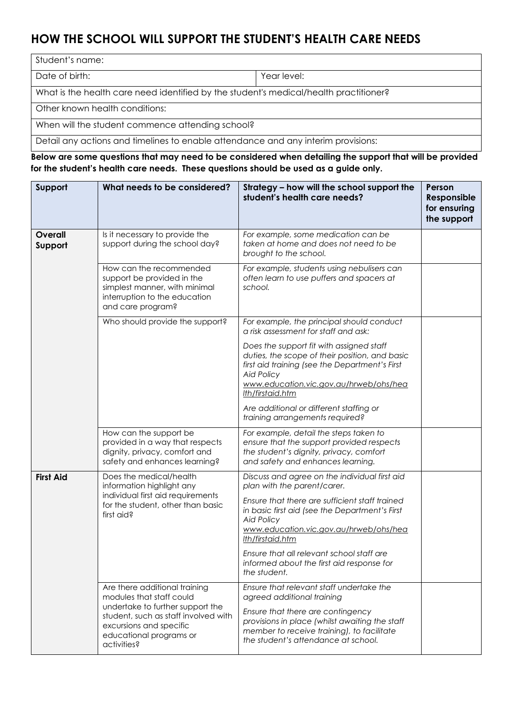## **HOW THE SCHOOL WILL SUPPORT THE STUDENT'S HEALTH CARE NEEDS**

Student's name: Date of birth:  $\vert$  Year level: What is the health care need identified by the student's medical/health practitioner? Other known health conditions: When will the student commence attending school?

Detail any actions and timelines to enable attendance and any interim provisions:

**Below are some questions that may need to be considered when detailing the support that will be provided for the student's health care needs. These questions should be used as a guide only.**

| Support            | What needs to be considered?                                                                                                                  | Strategy - how will the school support the<br>student's health care needs?                                                                                                                                                      | Person<br>Responsible<br>for ensuring<br>the support |
|--------------------|-----------------------------------------------------------------------------------------------------------------------------------------------|---------------------------------------------------------------------------------------------------------------------------------------------------------------------------------------------------------------------------------|------------------------------------------------------|
| Overall<br>Support | Is it necessary to provide the<br>support during the school day?                                                                              | For example, some medication can be<br>taken at home and does not need to be<br>brought to the school.                                                                                                                          |                                                      |
|                    | How can the recommended<br>support be provided in the<br>simplest manner, with minimal<br>interruption to the education<br>and care program?  | For example, students using nebulisers can<br>often learn to use puffers and spacers at<br>school.                                                                                                                              |                                                      |
|                    | Who should provide the support?                                                                                                               | For example, the principal should conduct<br>a risk assessment for staff and ask:                                                                                                                                               |                                                      |
|                    |                                                                                                                                               | Does the support fit with assigned staff<br>duties, the scope of their position, and basic<br>first aid training (see the Department's First<br><b>Aid Policy</b><br>www.education.vic.gov.au/hrweb/ohs/hea<br>Ith/firstaid.htm |                                                      |
|                    |                                                                                                                                               | Are additional or different staffing or<br>training arrangements required?                                                                                                                                                      |                                                      |
|                    | How can the support be<br>provided in a way that respects<br>dignity, privacy, comfort and<br>safety and enhances learning?                   | For example, detail the steps taken to<br>ensure that the support provided respects<br>the student's dignity, privacy, comfort<br>and safety and enhances learning.                                                             |                                                      |
| <b>First Aid</b>   | Does the medical/health<br>information highlight any                                                                                          | Discuss and agree on the individual first aid<br>plan with the parent/carer.                                                                                                                                                    |                                                      |
|                    | individual first aid requirements<br>for the student, other than basic<br>first aid?                                                          | Ensure that there are sufficient staff trained<br>in basic first aid (see the Department's First<br><b>Aid Policy</b><br>www.education.vic.gov.au/hrweb/ohs/hea<br>Ith/firstaid.htm                                             |                                                      |
|                    |                                                                                                                                               | Ensure that all relevant school staff are<br>informed about the first aid response for<br>the student.                                                                                                                          |                                                      |
|                    | Are there additional training<br>modules that staff could                                                                                     | Ensure that relevant staff undertake the<br>agreed additional training                                                                                                                                                          |                                                      |
|                    | undertake to further support the<br>student, such as staff involved with<br>excursions and specific<br>educational programs or<br>activities? | Ensure that there are contingency<br>provisions in place (whilst awaiting the staff<br>member to receive training), to facilitate<br>the student's attendance at school.                                                        |                                                      |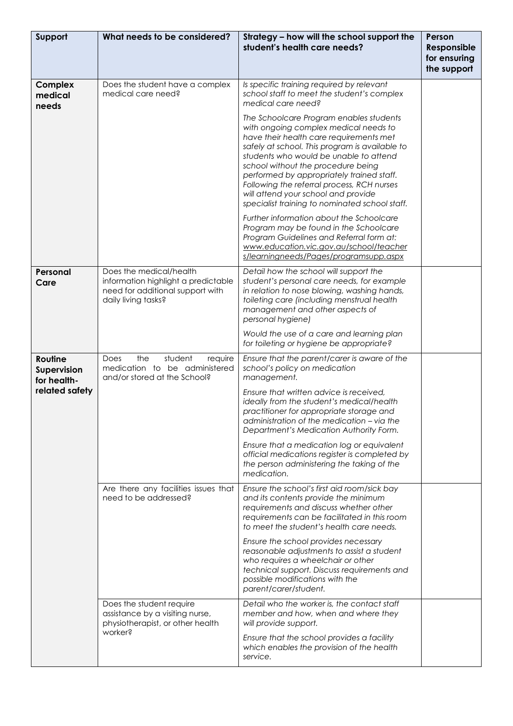| Support                                                 | What needs to be considered?                                                                                              | Strategy - how will the school support the<br>student's health care needs?                                                                                                                                                                                                                                                                                                                                                                        | Person<br>Responsible<br>for ensuring<br>the support |
|---------------------------------------------------------|---------------------------------------------------------------------------------------------------------------------------|---------------------------------------------------------------------------------------------------------------------------------------------------------------------------------------------------------------------------------------------------------------------------------------------------------------------------------------------------------------------------------------------------------------------------------------------------|------------------------------------------------------|
| <b>Complex</b><br>medical<br>needs                      | Does the student have a complex<br>medical care need?                                                                     | Is specific training required by relevant<br>school staff to meet the student's complex<br>medical care need?                                                                                                                                                                                                                                                                                                                                     |                                                      |
|                                                         |                                                                                                                           | The Schoolcare Program enables students<br>with ongoing complex medical needs to<br>have their health care requirements met<br>safely at school. This program is available to<br>students who would be unable to attend<br>school without the procedure being<br>performed by appropriately trained staff.<br>Following the referral process, RCH nurses<br>will attend your school and provide<br>specialist training to nominated school staff. |                                                      |
|                                                         |                                                                                                                           | Further information about the Schoolcare<br>Program may be found in the Schoolcare<br>Program Guidelines and Referral form at:<br>www.education.vic.gov.au/school/teacher<br>s/learningneeds/Pages/programsupp.aspx                                                                                                                                                                                                                               |                                                      |
| Personal<br>Care                                        | Does the medical/health<br>information highlight a predictable<br>need for additional support with<br>daily living tasks? | Detail how the school will support the<br>student's personal care needs, for example<br>in relation to nose blowing, washing hands,<br>toileting care (including menstrual health<br>management and other aspects of<br>personal hygiene)                                                                                                                                                                                                         |                                                      |
|                                                         |                                                                                                                           | Would the use of a care and learning plan<br>for toileting or hygiene be appropriate?                                                                                                                                                                                                                                                                                                                                                             |                                                      |
| Routine<br>Supervision<br>for health-<br>related safety | the<br>student<br>require<br>Does<br>medication to be administered<br>and/or stored at the School?                        | Ensure that the parent/carer is aware of the<br>school's policy on medication<br>management.<br>Ensure that written advice is received.<br>ideally from the student's medical/health                                                                                                                                                                                                                                                              |                                                      |
|                                                         |                                                                                                                           | practitioner for appropriate storage and<br>administration of the medication – via the<br>Department's Medication Authority Form.                                                                                                                                                                                                                                                                                                                 |                                                      |
|                                                         |                                                                                                                           | Ensure that a medication log or equivalent<br>official medications register is completed by<br>the person administering the taking of the<br>medication.                                                                                                                                                                                                                                                                                          |                                                      |
|                                                         | Are there any facilities issues that<br>need to be addressed?                                                             | Ensure the school's first aid room/sick bay<br>and its contents provide the minimum<br>requirements and discuss whether other<br>requirements can be facilitated in this room<br>to meet the student's health care needs.                                                                                                                                                                                                                         |                                                      |
|                                                         |                                                                                                                           | Ensure the school provides necessary<br>reasonable adjustments to assist a student<br>who requires a wheelchair or other<br>technical support. Discuss requirements and<br>possible modifications with the<br>parent/carer/student.                                                                                                                                                                                                               |                                                      |
|                                                         | Does the student require<br>assistance by a visiting nurse,<br>physiotherapist, or other health<br>worker?                | Detail who the worker is, the contact staff<br>member and how, when and where they<br>will provide support.<br>Ensure that the school provides a facility                                                                                                                                                                                                                                                                                         |                                                      |
|                                                         |                                                                                                                           | which enables the provision of the health<br>service.                                                                                                                                                                                                                                                                                                                                                                                             |                                                      |